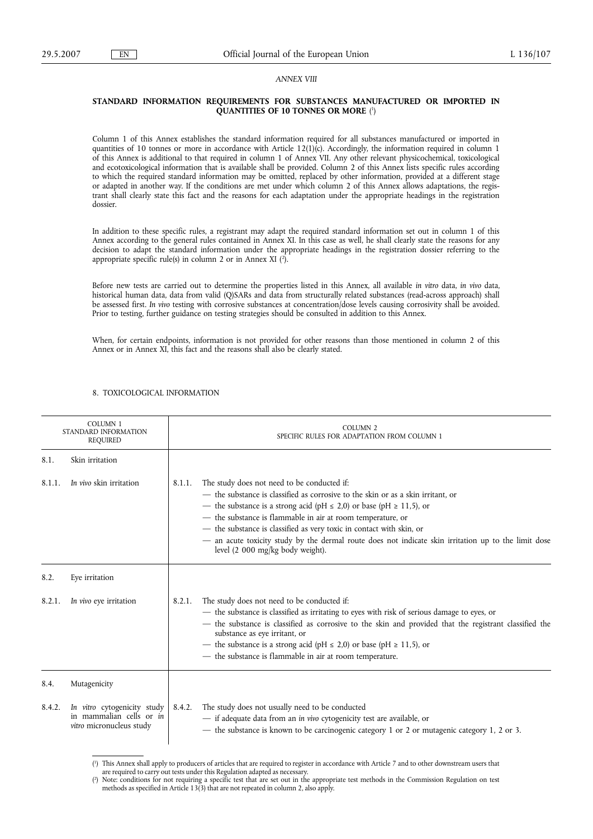## *ANNEX VIII*

## **STANDARD INFORMATION REQUIREMENTS FOR SUBSTANCES MANUFACTURED OR IMPORTED IN QUANTITIES OF 10 TONNES OR MORE** ( 1 )

Column 1 of this Annex establishes the standard information required for all substances manufactured or imported in quantities of 10 tonnes or more in accordance with Article 12(1)(c). Accordingly, the information required in column 1 of this Annex is additional to that required in column 1 of Annex VII. Any other relevant physicochemical, toxicological and ecotoxicological information that is available shall be provided. Column 2 of this Annex lists specific rules according to which the required standard information may be omitted, replaced by other information, provided at a different stage or adapted in another way. If the conditions are met under which column 2 of this Annex allows adaptations, the registrant shall clearly state this fact and the reasons for each adaptation under the appropriate headings in the registration dossier.

In addition to these specific rules, a registrant may adapt the required standard information set out in column 1 of this Annex according to the general rules contained in Annex XI. In this case as well, he shall clearly state the reasons for any decision to adapt the standard information under the appropriate headings in the registration dossier referring to the appropriate specific rule(s) in column 2 or in Annex XI (2 ).

Before new tests are carried out to determine the properties listed in this Annex, all available *in vitro* data, *in vivo* data, historical human data, data from valid (Q)SARs and data from structurally related substances (read-across approach) shall be assessed first. *In vivo* testing with corrosive substances at concentration/dose levels causing corrosivity shall be avoided. Prior to testing, further guidance on testing strategies should be consulted in addition to this Annex.

When, for certain endpoints, information is not provided for other reasons than those mentioned in column 2 of this Annex or in Annex XI, this fact and the reasons shall also be clearly stated.

| <b>COLUMN 1</b><br>STANDARD INFORMATION<br>REQUIRED |                                                                                            | <b>COLUMN 2</b><br>SPECIFIC RULES FOR ADAPTATION FROM COLUMN 1                                                                                                                                                                                                                                                                                                                                                                                                                                                |  |  |
|-----------------------------------------------------|--------------------------------------------------------------------------------------------|---------------------------------------------------------------------------------------------------------------------------------------------------------------------------------------------------------------------------------------------------------------------------------------------------------------------------------------------------------------------------------------------------------------------------------------------------------------------------------------------------------------|--|--|
| 8.1.                                                | Skin irritation                                                                            |                                                                                                                                                                                                                                                                                                                                                                                                                                                                                                               |  |  |
| 8.1.1.                                              | In vivo skin irritation                                                                    | The study does not need to be conducted if:<br>8.1.1.<br>- the substance is classified as corrosive to the skin or as a skin irritant, or<br>— the substance is a strong acid (pH $\leq$ 2,0) or base (pH $\geq$ 11,5), or<br>- the substance is flammable in air at room temperature, or<br>- the substance is classified as very toxic in contact with skin, or<br>- an acute toxicity study by the dermal route does not indicate skin irritation up to the limit dose<br>level (2 000 mg/kg body weight). |  |  |
| 8.2.                                                | Eye irritation                                                                             |                                                                                                                                                                                                                                                                                                                                                                                                                                                                                                               |  |  |
| 8.2.1.                                              | In vivo eye irritation                                                                     | The study does not need to be conducted if:<br>8.2.1.<br>- the substance is classified as irritating to eyes with risk of serious damage to eyes, or<br>- the substance is classified as corrosive to the skin and provided that the registrant classified the<br>substance as eye irritant, or<br>— the substance is a strong acid (pH $\leq$ 2,0) or base (pH $\geq$ 11,5), or<br>- the substance is flammable in air at room temperature.                                                                  |  |  |
| 8.4.                                                | Mutagenicity                                                                               |                                                                                                                                                                                                                                                                                                                                                                                                                                                                                                               |  |  |
| 8.4.2.                                              | In vitro cytogenicity study<br>in mammalian cells or in<br><i>vitro</i> micronucleus study | The study does not usually need to be conducted<br>8.4.2.<br>- if adequate data from an in vivo cytogenicity test are available, or<br>- the substance is known to be carcinogenic category 1 or 2 or mutagenic category 1, 2 or 3.                                                                                                                                                                                                                                                                           |  |  |

## 8. TOXICOLOGICAL INFORMATION

<sup>(</sup> 1 ) This Annex shall apply to producers of articles that are required to register in accordance with Article 7 and to other downstream users that

are required to carry out tests under this Regulation adapted as necessary.

<sup>(</sup> 2 ) Note: conditions for not requiring a specific test that are set out in the appropriate test methods in the Commission Regulation on test methods as specified in Article 13(3) that are not repeated in column 2, also apply.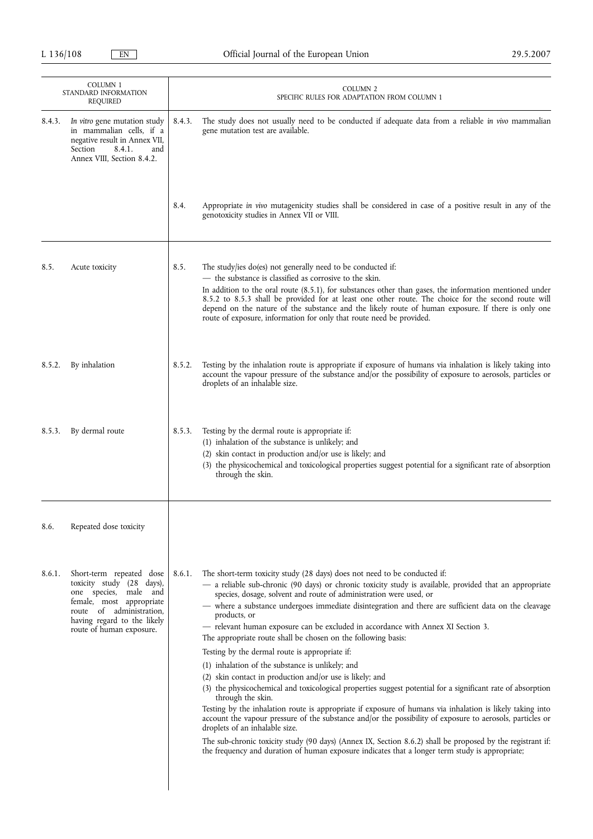|        | <b>COLUMN 1</b><br>STANDARD INFORMATION<br><b>REQUIRED</b>                                                                                                                                        | <b>COLUMN 2</b><br>SPECIFIC RULES FOR ADAPTATION FROM COLUMN 1                                                                                                                                                                                                                                                                                                                                                                                                                                                                                                                                                                                                                                                                                                                                                                                                                                                                                                                                                                                                                                                                                                                                                                                                                                                                       |
|--------|---------------------------------------------------------------------------------------------------------------------------------------------------------------------------------------------------|--------------------------------------------------------------------------------------------------------------------------------------------------------------------------------------------------------------------------------------------------------------------------------------------------------------------------------------------------------------------------------------------------------------------------------------------------------------------------------------------------------------------------------------------------------------------------------------------------------------------------------------------------------------------------------------------------------------------------------------------------------------------------------------------------------------------------------------------------------------------------------------------------------------------------------------------------------------------------------------------------------------------------------------------------------------------------------------------------------------------------------------------------------------------------------------------------------------------------------------------------------------------------------------------------------------------------------------|
| 8.4.3. | In vitro gene mutation study<br>in mammalian cells, if a<br>negative result in Annex VII,<br>Section<br>8.4.1.<br>and<br>Annex VIII, Section 8.4.2.                                               | 8.4.3.<br>The study does not usually need to be conducted if adequate data from a reliable in vivo mammalian<br>gene mutation test are available.                                                                                                                                                                                                                                                                                                                                                                                                                                                                                                                                                                                                                                                                                                                                                                                                                                                                                                                                                                                                                                                                                                                                                                                    |
|        |                                                                                                                                                                                                   | 8.4.<br>Appropriate in vivo mutagenicity studies shall be considered in case of a positive result in any of the<br>genotoxicity studies in Annex VII or VIII.                                                                                                                                                                                                                                                                                                                                                                                                                                                                                                                                                                                                                                                                                                                                                                                                                                                                                                                                                                                                                                                                                                                                                                        |
| 8.5.   | Acute toxicity                                                                                                                                                                                    | 8.5.<br>The study/ies do(es) not generally need to be conducted if:<br>- the substance is classified as corrosive to the skin.<br>In addition to the oral route $(8.5.1)$ , for substances other than gases, the information mentioned under<br>8.5.2 to 8.5.3 shall be provided for at least one other route. The choice for the second route will<br>depend on the nature of the substance and the likely route of human exposure. If there is only one<br>route of exposure, information for only that route need be provided.                                                                                                                                                                                                                                                                                                                                                                                                                                                                                                                                                                                                                                                                                                                                                                                                    |
| 8.5.2. | By inhalation                                                                                                                                                                                     | Testing by the inhalation route is appropriate if exposure of humans via inhalation is likely taking into<br>8.5.2.<br>account the vapour pressure of the substance and/or the possibility of exposure to aerosols, particles or<br>droplets of an inhalable size.                                                                                                                                                                                                                                                                                                                                                                                                                                                                                                                                                                                                                                                                                                                                                                                                                                                                                                                                                                                                                                                                   |
| 8.5.3. | By dermal route                                                                                                                                                                                   | Testing by the dermal route is appropriate if:<br>8.5.3.<br>(1) inhalation of the substance is unlikely; and<br>(2) skin contact in production and/or use is likely; and<br>(3) the physicochemical and toxicological properties suggest potential for a significant rate of absorption<br>through the skin.                                                                                                                                                                                                                                                                                                                                                                                                                                                                                                                                                                                                                                                                                                                                                                                                                                                                                                                                                                                                                         |
| 8.6.   | Repeated dose toxicity                                                                                                                                                                            |                                                                                                                                                                                                                                                                                                                                                                                                                                                                                                                                                                                                                                                                                                                                                                                                                                                                                                                                                                                                                                                                                                                                                                                                                                                                                                                                      |
| 8.6.1. | Short-term repeated dose<br>toxicity study (28 days),<br>one species, male and<br>female, most appropriate<br>route of administration,<br>having regard to the likely<br>route of human exposure. | The short-term toxicity study (28 days) does not need to be conducted if:<br>8.6.1.<br>- a reliable sub-chronic (90 days) or chronic toxicity study is available, provided that an appropriate<br>species, dosage, solvent and route of administration were used, or<br>- where a substance undergoes immediate disintegration and there are sufficient data on the cleavage<br>products, or<br>- relevant human exposure can be excluded in accordance with Annex XI Section 3.<br>The appropriate route shall be chosen on the following basis:<br>Testing by the dermal route is appropriate if:<br>(1) inhalation of the substance is unlikely; and<br>(2) skin contact in production and/or use is likely; and<br>(3) the physicochemical and toxicological properties suggest potential for a significant rate of absorption<br>through the skin.<br>Testing by the inhalation route is appropriate if exposure of humans via inhalation is likely taking into<br>account the vapour pressure of the substance and/or the possibility of exposure to aerosols, particles or<br>droplets of an inhalable size.<br>The sub-chronic toxicity study (90 days) (Annex IX, Section 8.6.2) shall be proposed by the registrant if:<br>the frequency and duration of human exposure indicates that a longer term study is appropriate; |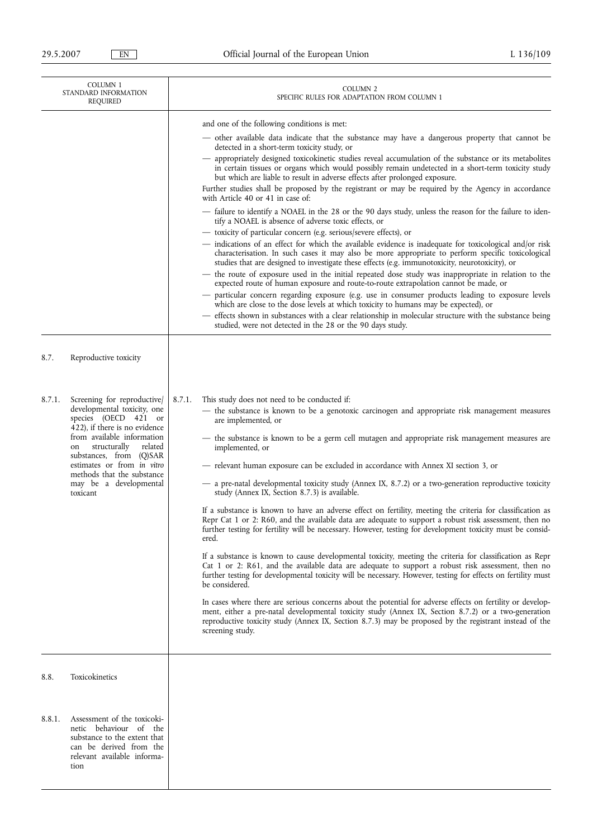| COLUMN <sub>1</sub><br>STANDARD INFORMATION<br>REQUIRED |                                                                                                                                                                                                                                                                                                                | COLUMN <sub>2</sub><br>SPECIFIC RULES FOR ADAPTATION FROM COLUMN 1                                                                                                                                                                                                                                                                                                                                                                                                                                                                                                                                                                                                                                                                                                                                                                                                                                                                                                                                                                                                                                                                                                                                                                                                                                                                                                                                                                                                                                                                                                                                                                                                                                                                                                      |
|---------------------------------------------------------|----------------------------------------------------------------------------------------------------------------------------------------------------------------------------------------------------------------------------------------------------------------------------------------------------------------|-------------------------------------------------------------------------------------------------------------------------------------------------------------------------------------------------------------------------------------------------------------------------------------------------------------------------------------------------------------------------------------------------------------------------------------------------------------------------------------------------------------------------------------------------------------------------------------------------------------------------------------------------------------------------------------------------------------------------------------------------------------------------------------------------------------------------------------------------------------------------------------------------------------------------------------------------------------------------------------------------------------------------------------------------------------------------------------------------------------------------------------------------------------------------------------------------------------------------------------------------------------------------------------------------------------------------------------------------------------------------------------------------------------------------------------------------------------------------------------------------------------------------------------------------------------------------------------------------------------------------------------------------------------------------------------------------------------------------------------------------------------------------|
|                                                         |                                                                                                                                                                                                                                                                                                                | and one of the following conditions is met:<br>- other available data indicate that the substance may have a dangerous property that cannot be<br>detected in a short-term toxicity study, or<br>appropriately designed toxicokinetic studies reveal accumulation of the substance or its metabolites<br>in certain tissues or organs which would possibly remain undetected in a short-term toxicity study<br>but which are liable to result in adverse effects after prolonged exposure.<br>Further studies shall be proposed by the registrant or may be required by the Agency in accordance<br>with Article 40 or 41 in case of:<br>- failure to identify a NOAEL in the 28 or the 90 days study, unless the reason for the failure to iden-<br>tify a NOAEL is absence of adverse toxic effects, or<br>- toxicity of particular concern (e.g. serious/severe effects), or<br>- indications of an effect for which the available evidence is inadequate for toxicological and/or risk<br>characterisation. In such cases it may also be more appropriate to perform specific toxicological<br>studies that are designed to investigate these effects (e.g. immunotoxicity, neurotoxicity), or<br>- the route of exposure used in the initial repeated dose study was inappropriate in relation to the<br>expected route of human exposure and route-to-route extrapolation cannot be made, or<br>- particular concern regarding exposure (e.g. use in consumer products leading to exposure levels<br>which are close to the dose levels at which toxicity to humans may be expected), or<br>- effects shown in substances with a clear relationship in molecular structure with the substance being<br>studied, were not detected in the 28 or the 90 days study. |
| 8.7.                                                    | Reproductive toxicity                                                                                                                                                                                                                                                                                          |                                                                                                                                                                                                                                                                                                                                                                                                                                                                                                                                                                                                                                                                                                                                                                                                                                                                                                                                                                                                                                                                                                                                                                                                                                                                                                                                                                                                                                                                                                                                                                                                                                                                                                                                                                         |
| 8.7.1.                                                  | Screening for reproductive<br>developmental toxicity, one<br>species (OECD 421 or<br>422), if there is no evidence<br>from available information<br>related<br>structurally<br>on<br>substances, from (Q)SAR<br>estimates or from in vitro<br>methods that the substance<br>may be a developmental<br>toxicant | 8.7.1.<br>This study does not need to be conducted if:<br>- the substance is known to be a genotoxic carcinogen and appropriate risk management measures<br>are implemented, or<br>- the substance is known to be a germ cell mutagen and appropriate risk management measures are<br>implemented, or<br>- relevant human exposure can be excluded in accordance with Annex XI section 3, or<br>- a pre-natal developmental toxicity study (Annex IX, 8.7.2) or a two-generation reproductive toxicity<br>study (Annex IX, Section 8.7.3) is available.<br>If a substance is known to have an adverse effect on fertility, meeting the criteria for classification as<br>Repr Cat 1 or 2: R60, and the available data are adequate to support a robust risk assessment, then no<br>further testing for fertility will be necessary. However, testing for development toxicity must be consid-<br>ered.<br>If a substance is known to cause developmental toxicity, meeting the criteria for classification as Repr<br>Cat 1 or 2: R61, and the available data are adequate to support a robust risk assessment, then no<br>further testing for developmental toxicity will be necessary. However, testing for effects on fertility must<br>be considered.<br>In cases where there are serious concerns about the potential for adverse effects on fertility or develop-<br>ment, either a pre-natal developmental toxicity study (Annex IX, Section 8.7.2) or a two-generation<br>reproductive toxicity study (Annex IX, Section 8.7.3) may be proposed by the registrant instead of the<br>screening study.                                                                                                                                                            |
| 8.8.                                                    | Toxicokinetics                                                                                                                                                                                                                                                                                                 |                                                                                                                                                                                                                                                                                                                                                                                                                                                                                                                                                                                                                                                                                                                                                                                                                                                                                                                                                                                                                                                                                                                                                                                                                                                                                                                                                                                                                                                                                                                                                                                                                                                                                                                                                                         |
| 8.8.1.                                                  | Assessment of the toxicoki-<br>netic behaviour of the<br>substance to the extent that<br>can be derived from the<br>relevant available informa-<br>tion                                                                                                                                                        |                                                                                                                                                                                                                                                                                                                                                                                                                                                                                                                                                                                                                                                                                                                                                                                                                                                                                                                                                                                                                                                                                                                                                                                                                                                                                                                                                                                                                                                                                                                                                                                                                                                                                                                                                                         |